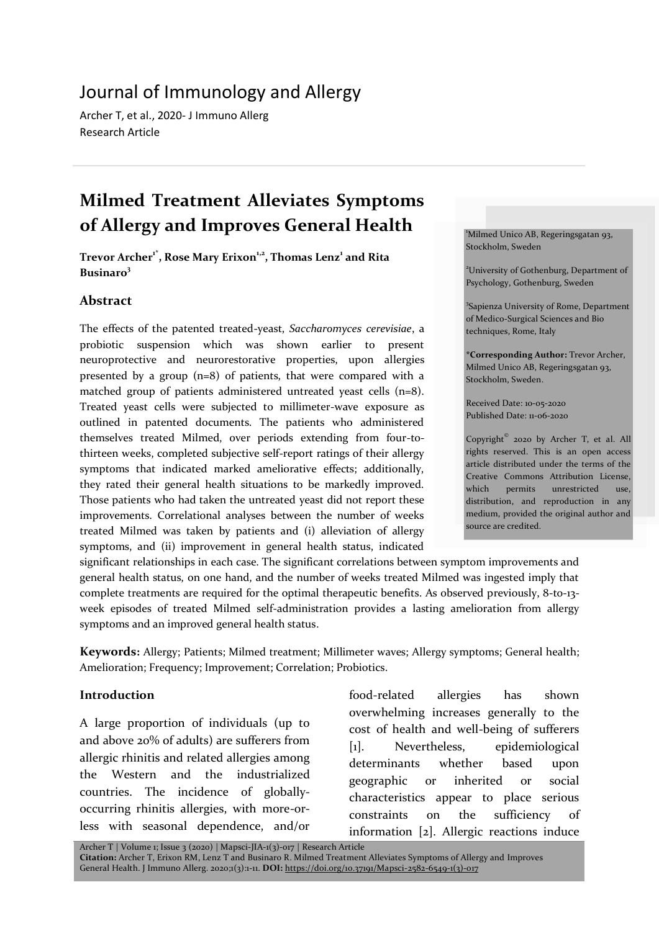# Journal of Immunology and Allergy

Archer T, et al., 2020- J Immuno Allerg Research Article

# **Milmed Treatment Alleviates Symptoms of Allergy and Improves General Health**

**Trevor Archer1\*, Rose Mary Erixon1,2, Thomas Lenz<sup>1</sup> and Rita Businaro<sup>3</sup>**

## **Abstract**

The effects of the patented treated-yeast, *Saccharomyces cerevisiae*, a probiotic suspension which was shown earlier to present neuroprotective and neurorestorative properties, upon allergies presented by a group (n=8) of patients, that were compared with a matched group of patients administered untreated yeast cells (n=8). Treated yeast cells were subjected to millimeter-wave exposure as outlined in patented documents. The patients who administered themselves treated Milmed, over periods extending from four-tothirteen weeks, completed subjective self-report ratings of their allergy symptoms that indicated marked ameliorative effects; additionally, they rated their general health situations to be markedly improved. Those patients who had taken the untreated yeast did not report these improvements. Correlational analyses between the number of weeks treated Milmed was taken by patients and (i) alleviation of allergy symptoms, and (ii) improvement in general health status, indicated

significant relationships in each case. The significant correlations between symptom improvements and general health status, on one hand, and the number of weeks treated Milmed was ingested imply that complete treatments are required for the optimal therapeutic benefits. As observed previously, 8-to-13 week episodes of treated Milmed self-administration provides a lasting amelioration from allergy symptoms and an improved general health status.

**Keywords:** Allergy; Patients; Milmed treatment; Millimeter waves; Allergy symptoms; General health; Amelioration; Frequency; Improvement; Correlation; Probiotics.

#### **Introduction**

A large proportion of individuals (up to and above 20% of adults) are sufferers from allergic rhinitis and related allergies among the Western and the industrialized countries. The incidence of globallyoccurring rhinitis allergies, with more-orless with seasonal dependence, and/or food-related allergies has shown overwhelming increases generally to the cost of health and well-being of sufferers [1]. Nevertheless, epidemiological determinants whether based upon geographic or inherited or social characteristics appear to place serious constraints on the sufficiency of information [2]. Allergic reactions induce

Milmed Unico AB, Regeringsgatan 93, Stockholm, Sweden

<sup>2</sup>University of Gothenburg, Department of Psychology, Gothenburg, Sweden

<sup>3</sup>Sapienza University of Rome, Department of Medico-Surgical Sciences and Bio techniques, Rome, Italy

**\*Corresponding Author:** Trevor Archer, Milmed Unico AB, Regeringsgatan 93, Stockholm, Sweden.

Received Date: 10-05-2020 Published Date: 11-06-2020

Copyright© 2020 by Archer T, et al. All rights reserved. This is an open access article distributed under the terms of the Creative Commons Attribution License, which permits unrestricted use, distribution, and reproduction in any medium, provided the original author and source are credited.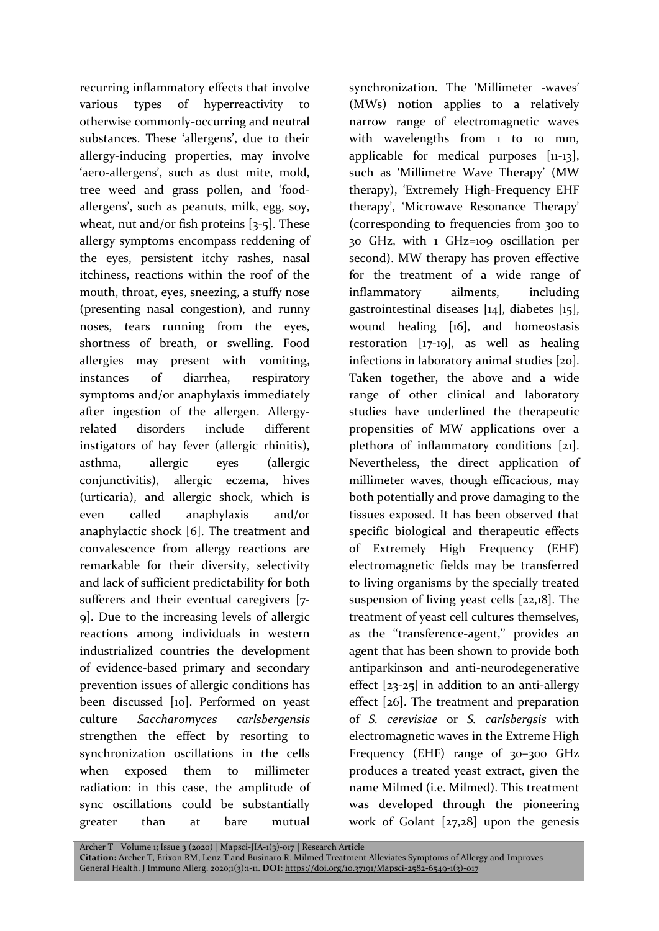recurring inflammatory effects that involve various types of hyperreactivity to otherwise commonly-occurring and neutral substances. These 'allergens', due to their allergy-inducing properties, may involve 'aero-allergens', such as dust mite, mold, tree weed and grass pollen, and 'foodallergens', such as peanuts, milk, egg, soy, wheat, nut and/or fish proteins  $[3-5]$ . These allergy symptoms encompass reddening of the eyes, persistent itchy rashes, nasal itchiness, reactions within the roof of the mouth, throat, eyes, sneezing, a stuffy nose (presenting nasal congestion), and runny noses, tears running from the eyes, shortness of breath, or swelling. Food allergies may present with vomiting, instances of diarrhea, respiratory symptoms and/or anaphylaxis immediately after ingestion of the allergen. Allergyrelated disorders include different instigators of hay fever (allergic rhinitis), asthma, allergic eyes (allergic conjunctivitis), allergic eczema, hives (urticaria), and allergic shock, which is even called anaphylaxis and/or anaphylactic shock [6]. The treatment and convalescence from allergy reactions are remarkable for their diversity, selectivity and lack of sufficient predictability for both sufferers and their eventual caregivers [7- 9]. Due to the increasing levels of allergic reactions among individuals in western industrialized countries the development of evidence-based primary and secondary prevention issues of allergic conditions has been discussed [10]. Performed on yeast culture *Saccharomyces carlsbergensis* strengthen the effect by resorting to synchronization oscillations in the cells when exposed them to millimeter radiation: in this case, the amplitude of sync oscillations could be substantially greater than at bare mutual

synchronization. The 'Millimeter -waves' (MWs) notion applies to a relatively narrow range of electromagnetic waves with wavelengths from 1 to 10 mm, applicable for medical purposes [11-13], such as 'Millimetre Wave Therapy' (MW therapy), 'Extremely High-Frequency EHF therapy', 'Microwave Resonance Therapy' (corresponding to frequencies from 300 to 30 GHz, with 1 GHz=109 oscillation per second). MW therapy has proven effective for the treatment of a wide range of inflammatory ailments, including gastrointestinal diseases [14], diabetes [15], wound healing [16], and homeostasis restoration [17-19], as well as healing infections in laboratory animal studies [20]. Taken together, the above and a wide range of other clinical and laboratory studies have underlined the therapeutic propensities of MW applications over a plethora of inflammatory conditions [21]. Nevertheless, the direct application of millimeter waves, though efficacious, may both potentially and prove damaging to the tissues exposed. It has been observed that specific biological and therapeutic effects of Extremely High Frequency (EHF) electromagnetic fields may be transferred to living organisms by the specially treated suspension of living yeast cells [22,18]. The treatment of yeast cell cultures themselves, as the ''transference-agent,'' provides an agent that has been shown to provide both antiparkinson and anti-neurodegenerative effect [23-25] in addition to an anti-allergy effect [26]. The treatment and preparation of *S. cerevisiae* or *S. carlsbergsis* with electromagnetic waves in the Extreme High Frequency (EHF) range of 30–300 GHz produces a treated yeast extract, given the name Milmed (i.e. Milmed). This treatment was developed through the pioneering work of Golant  $[27,28]$  upon the genesis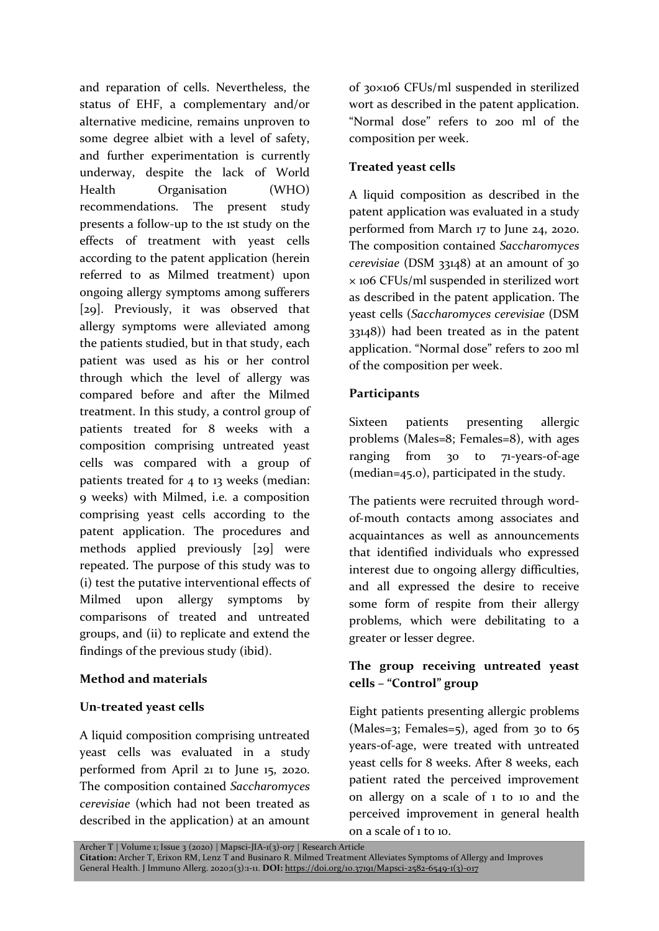and reparation of cells. Nevertheless, the status of EHF, a complementary and/or alternative medicine, remains unproven to some degree albiet with a level of safety, and further experimentation is currently underway, despite the lack of World Health Organisation (WHO) recommendations. The present study presents a follow-up to the 1st study on the effects of treatment with yeast cells according to the patent application (herein referred to as Milmed treatment) upon ongoing allergy symptoms among sufferers [29]. Previously, it was observed that allergy symptoms were alleviated among the patients studied, but in that study, each patient was used as his or her control through which the level of allergy was compared before and after the Milmed treatment. In this study, a control group of patients treated for 8 weeks with a composition comprising untreated yeast cells was compared with a group of patients treated for 4 to 13 weeks (median: 9 weeks) with Milmed, i.e. a composition comprising yeast cells according to the patent application. The procedures and methods applied previously [29] were repeated. The purpose of this study was to (i) test the putative interventional effects of Milmed upon allergy symptoms by comparisons of treated and untreated groups, and (ii) to replicate and extend the findings of the previous study (ibid).

#### **Method and materials**

#### **Un-treated yeast cells**

A liquid composition comprising untreated yeast cells was evaluated in a study performed from April 21 to June 15, 2020. The composition contained *Saccharomyces cerevisiae* (which had not been treated as described in the application) at an amount of 30×106 CFUs/ml suspended in sterilized wort as described in the patent application. "Normal dose" refers to 200 ml of the composition per week.

## **Treated yeast cells**

A liquid composition as described in the patent application was evaluated in a study performed from March 17 to June 24, 2020. The composition contained *Saccharomyces cerevisiae* (DSM 33148) at an amount of 30 × 106 CFUs/ml suspended in sterilized wort as described in the patent application. The yeast cells (*Saccharomyces cerevisiae* (DSM 33148)) had been treated as in the patent application. "Normal dose" refers to 200 ml of the composition per week.

#### **Participants**

Sixteen patients presenting allergic problems (Males=8; Females=8), with ages ranging from 30 to 71-years-of-age (median=45.0), participated in the study.

The patients were recruited through wordof-mouth contacts among associates and acquaintances as well as announcements that identified individuals who expressed interest due to ongoing allergy difficulties, and all expressed the desire to receive some form of respite from their allergy problems, which were debilitating to a greater or lesser degree.

## **The group receiving untreated yeast cells – "Control" group**

Eight patients presenting allergic problems (Males=3; Females=5), aged from 30 to  $65$ years-of-age, were treated with untreated yeast cells for 8 weeks. After 8 weeks, each patient rated the perceived improvement on allergy on a scale of 1 to 10 and the perceived improvement in general health on a scale of 1 to 10.

Archer T | Volume 1; Issue 3 (2020) | Mapsci-JIA-1(3)-017 | Research Article

**Citation:** Archer T, Erixon RM, Lenz T and Businaro R. Milmed Treatment Alleviates Symptoms of Allergy and Improves General Health. J Immuno Allerg. 2020;1(3):1-11. **DOI:** https://doi.org/10.37191/Mapsci-2582-6549-1(3)-017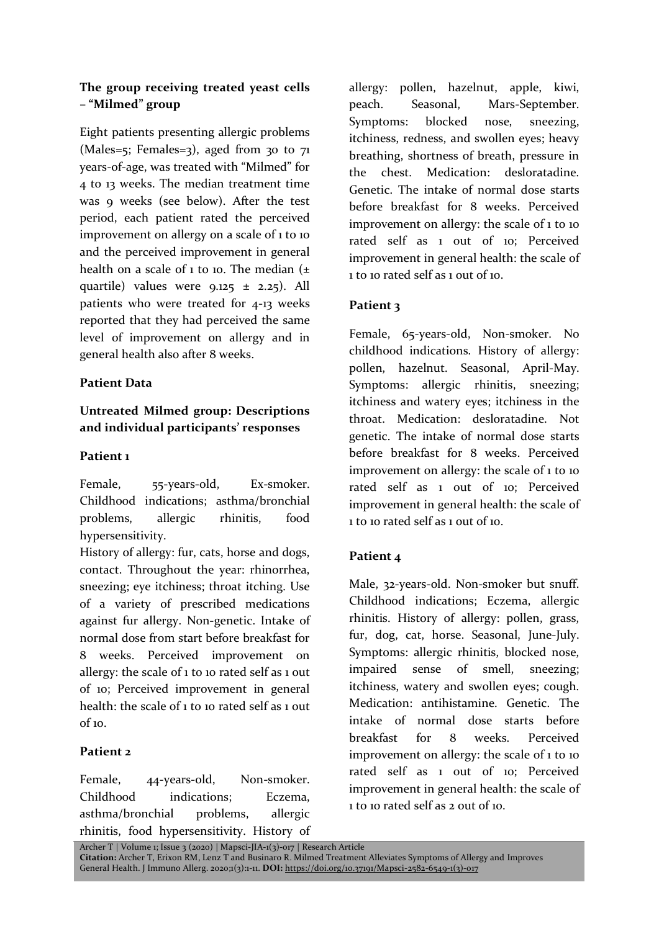## **The group receiving treated yeast cells – "Milmed" group**

Eight patients presenting allergic problems (Males=5; Females=3), aged from 30 to  $71$ years-of-age, was treated with "Milmed" for 4 to 13 weeks. The median treatment time was 9 weeks (see below). After the test period, each patient rated the perceived improvement on allergy on a scale of 1 to 10 and the perceived improvement in general health on a scale of 1 to 10. The median  $(\pm)$ quartile) values were  $9.125 \pm 2.25$ . All patients who were treated for 4-13 weeks reported that they had perceived the same level of improvement on allergy and in general health also after 8 weeks.

## **Patient Data**

## **Untreated Milmed group: Descriptions and individual participants' responses**

## **Patient 1**

Female, 55-years-old, Ex-smoker. Childhood indications; asthma/bronchial problems, allergic rhinitis, food hypersensitivity.

History of allergy: fur, cats, horse and dogs, contact. Throughout the year: rhinorrhea, sneezing; eye itchiness; throat itching. Use of a variety of prescribed medications against fur allergy. Non-genetic. Intake of normal dose from start before breakfast for 8 weeks. Perceived improvement on allergy: the scale of  $1$  to 10 rated self as  $1$  out of 10; Perceived improvement in general health: the scale of 1 to 10 rated self as 1 out  $of 10<sup>-10</sup>$ 

## **Patient 2**

Female, 44-years-old, Non-smoker. Childhood indications; Eczema, asthma/bronchial problems, allergic rhinitis, food hypersensitivity. History of allergy: pollen, hazelnut, apple, kiwi, peach. Seasonal, Mars-September. Symptoms: blocked nose, sneezing, itchiness, redness, and swollen eyes; heavy breathing, shortness of breath, pressure in the chest. Medication: desloratadine. Genetic. The intake of normal dose starts before breakfast for 8 weeks. Perceived improvement on allergy: the scale of 1 to 10 rated self as 1 out of 10; Perceived improvement in general health: the scale of 1 to 10 rated self as 1 out of 10.

# **Patient 3**

Female, 65-years-old, Non-smoker. No childhood indications. History of allergy: pollen, hazelnut. Seasonal, April-May. Symptoms: allergic rhinitis, sneezing; itchiness and watery eyes; itchiness in the throat. Medication: desloratadine. Not genetic. The intake of normal dose starts before breakfast for 8 weeks. Perceived improvement on allergy: the scale of 1 to 10 rated self as 1 out of 10; Perceived improvement in general health: the scale of 1 to 10 rated self as 1 out of 10.

## **Patient 4**

Male, 32-years-old. Non-smoker but snuff. Childhood indications; Eczema, allergic rhinitis. History of allergy: pollen, grass, fur, dog, cat, horse. Seasonal, June-July. Symptoms: allergic rhinitis, blocked nose, impaired sense of smell, sneezing; itchiness, watery and swollen eyes; cough. Medication: antihistamine. Genetic. The intake of normal dose starts before breakfast for 8 weeks. Perceived improvement on allergy: the scale of 1 to 10 rated self as 1 out of 10; Perceived improvement in general health: the scale of 1 to 10 rated self as 2 out of 10.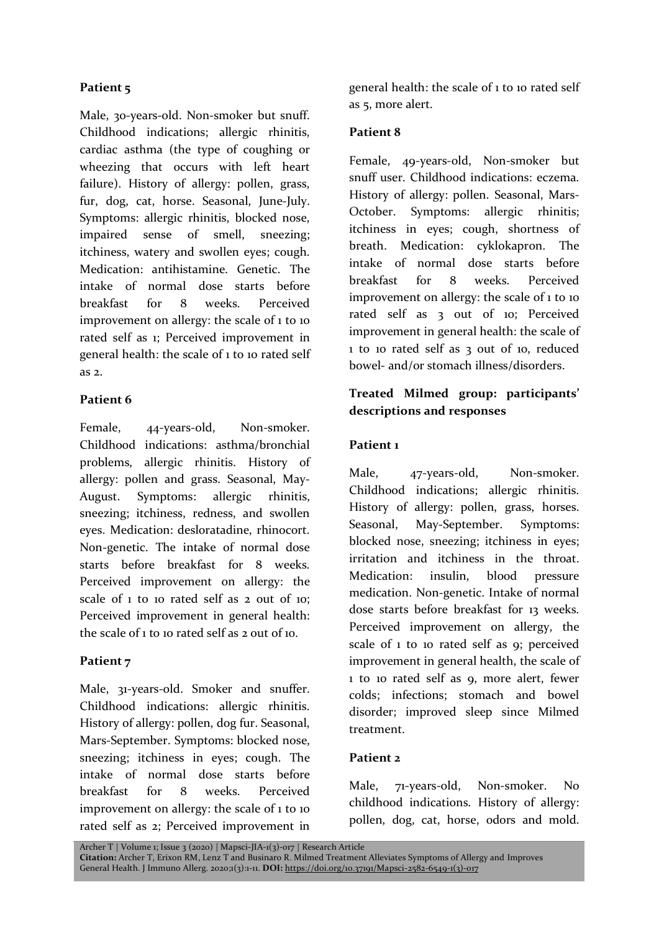## **Patient 5**

Male, 30-years-old. Non-smoker but snuff. Childhood indications; allergic rhinitis, cardiac asthma (the type of coughing or wheezing that occurs with left heart failure). History of allergy: pollen, grass, fur, dog, cat, horse. Seasonal, June-July. Symptoms: allergic rhinitis, blocked nose, impaired sense of smell, sneezing; itchiness, watery and swollen eyes; cough. Medication: antihistamine. Genetic. The intake of normal dose starts before breakfast for 8 weeks. Perceived improvement on allergy: the scale of 1 to 10 rated self as 1; Perceived improvement in general health: the scale of 1 to 10 rated self as 2.

## **Patient 6**

Female, 44-years-old, Non-smoker. Childhood indications: asthma/bronchial problems, allergic rhinitis. History of allergy: pollen and grass. Seasonal, May-August. Symptoms: allergic rhinitis, sneezing; itchiness, redness, and swollen eyes. Medication: desloratadine, rhinocort. Non-genetic. The intake of normal dose starts before breakfast for 8 weeks. Perceived improvement on allergy: the scale of 1 to 10 rated self as 2 out of 10; Perceived improvement in general health: the scale of 1 to 10 rated self as 2 out of 10.

## **Patient 7**

Male, 31-years-old. Smoker and snuffer. Childhood indications: allergic rhinitis. History of allergy: pollen, dog fur. Seasonal, Mars-September. Symptoms: blocked nose, sneezing; itchiness in eyes; cough. The intake of normal dose starts before breakfast for 8 weeks. Perceived improvement on allergy: the scale of 1 to 10 rated self as 2; Perceived improvement in general health: the scale of 1 to 10 rated self as 5, more alert.

#### **Patient 8**

Female, 49-years-old, Non-smoker but snuff user. Childhood indications: eczema. History of allergy: pollen. Seasonal, Mars-October. Symptoms: allergic rhinitis; itchiness in eyes; cough, shortness of breath. Medication: cyklokapron. The intake of normal dose starts before breakfast for 8 weeks. Perceived improvement on allergy: the scale of 1 to 10 rated self as 3 out of 10; Perceived improvement in general health: the scale of 1 to 10 rated self as 3 out of 10, reduced bowel- and/or stomach illness/disorders.

## **Treated Milmed group: participants' descriptions and responses**

#### **Patient 1**

Male, 47-years-old, Non-smoker. Childhood indications; allergic rhinitis. History of allergy: pollen, grass, horses. Seasonal, May-September. Symptoms: blocked nose, sneezing; itchiness in eyes; irritation and itchiness in the throat. Medication: insulin, blood pressure medication. Non-genetic. Intake of normal dose starts before breakfast for 13 weeks. Perceived improvement on allergy, the scale of 1 to 10 rated self as 9; perceived improvement in general health, the scale of 1 to 10 rated self as 9, more alert, fewer colds; infections; stomach and bowel disorder; improved sleep since Milmed treatment.

#### **Patient 2**

Male, 71-years-old, Non-smoker. No childhood indications. History of allergy: pollen, dog, cat, horse, odors and mold.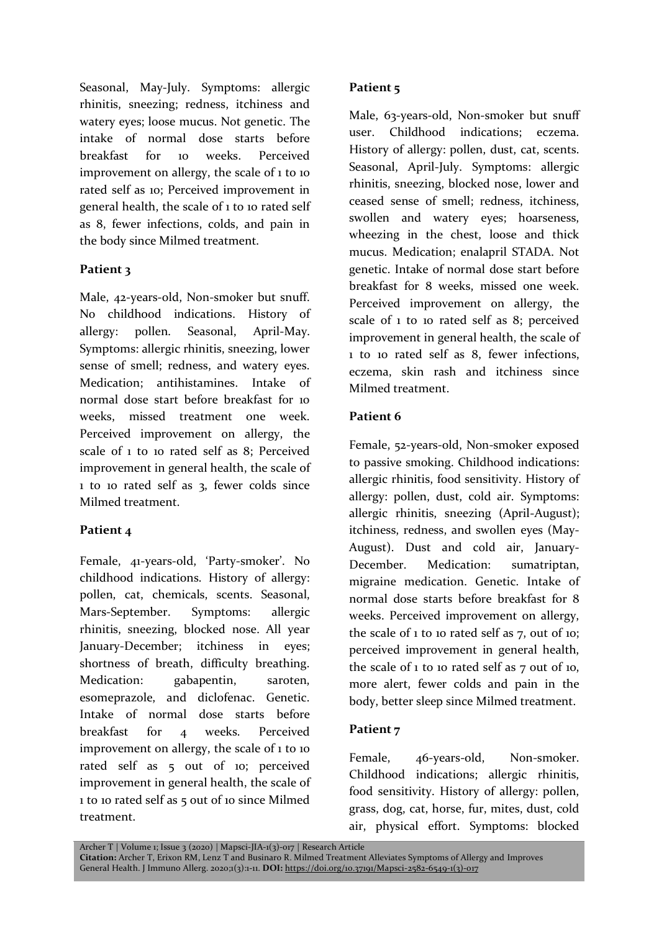Seasonal, May-July. Symptoms: allergic rhinitis, sneezing; redness, itchiness and watery eyes; loose mucus. Not genetic. The intake of normal dose starts before breakfast for 10 weeks. Perceived improvement on allergy, the scale of 1 to 10 rated self as 10; Perceived improvement in general health, the scale of 1 to 10 rated self as 8, fewer infections, colds, and pain in the body since Milmed treatment.

#### **Patient 3**

Male, 42-years-old, Non-smoker but snuff. No childhood indications. History of allergy: pollen. Seasonal, April-May. Symptoms: allergic rhinitis, sneezing, lower sense of smell; redness, and watery eyes. Medication; antihistamines. Intake of normal dose start before breakfast for 10 weeks, missed treatment one week. Perceived improvement on allergy, the scale of 1 to 10 rated self as 8; Perceived improvement in general health, the scale of 1 to 10 rated self as 3, fewer colds since Milmed treatment.

#### **Patient 4**

Female, 41-years-old, 'Party-smoker'. No childhood indications. History of allergy: pollen, cat, chemicals, scents. Seasonal, Mars-September. Symptoms: allergic rhinitis, sneezing, blocked nose. All year January-December; itchiness in eyes; shortness of breath, difficulty breathing. Medication: gabapentin, saroten, esomeprazole, and diclofenac. Genetic. Intake of normal dose starts before breakfast for 4 weeks. Perceived improvement on allergy, the scale of 1 to 10 rated self as 5 out of 10; perceived improvement in general health, the scale of 1 to 10 rated self as 5 out of 10 since Milmed treatment.

#### **Patient 5**

Male, 63-years-old, Non-smoker but snuff user. Childhood indications; eczema. History of allergy: pollen, dust, cat, scents. Seasonal, April-July. Symptoms: allergic rhinitis, sneezing, blocked nose, lower and ceased sense of smell; redness, itchiness, swollen and watery eyes; hoarseness, wheezing in the chest, loose and thick mucus. Medication; enalapril STADA. Not genetic. Intake of normal dose start before breakfast for 8 weeks, missed one week. Perceived improvement on allergy, the scale of 1 to 10 rated self as 8; perceived improvement in general health, the scale of 1 to 10 rated self as 8, fewer infections, eczema, skin rash and itchiness since Milmed treatment.

#### **Patient 6**

Female, 52-years-old, Non-smoker exposed to passive smoking. Childhood indications: allergic rhinitis, food sensitivity. History of allergy: pollen, dust, cold air. Symptoms: allergic rhinitis, sneezing (April-August); itchiness, redness, and swollen eyes (May-August). Dust and cold air, January-December. Medication: sumatriptan, migraine medication. Genetic. Intake of normal dose starts before breakfast for 8 weeks. Perceived improvement on allergy, the scale of  $1$  to 10 rated self as  $7$ , out of 10; perceived improvement in general health, the scale of 1 to 10 rated self as 7 out of 10, more alert, fewer colds and pain in the body, better sleep since Milmed treatment.

## **Patient 7**

Female, 46-years-old, Non-smoker. Childhood indications; allergic rhinitis, food sensitivity. History of allergy: pollen, grass, dog, cat, horse, fur, mites, dust, cold air, physical effort. Symptoms: blocked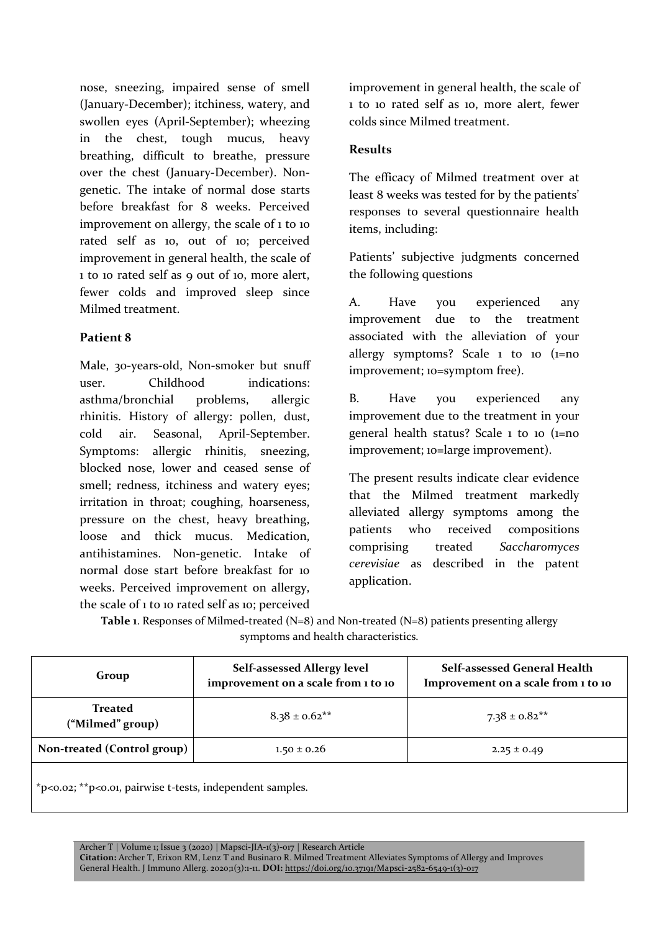nose, sneezing, impaired sense of smell (January-December); itchiness, watery, and swollen eyes (April-September); wheezing in the chest, tough mucus, heavy breathing, difficult to breathe, pressure over the chest (January-December). Nongenetic. The intake of normal dose starts before breakfast for 8 weeks. Perceived improvement on allergy, the scale of 1 to 10 rated self as 10, out of 10; perceived improvement in general health, the scale of 1 to 10 rated self as 9 out of 10, more alert, fewer colds and improved sleep since Milmed treatment.

#### **Patient 8**

Male, 30-years-old, Non-smoker but snuff user. Childhood indications: asthma/bronchial problems, allergic rhinitis. History of allergy: pollen, dust, cold air. Seasonal, April-September. Symptoms: allergic rhinitis, sneezing, blocked nose, lower and ceased sense of smell; redness, itchiness and watery eyes; irritation in throat; coughing, hoarseness, pressure on the chest, heavy breathing, loose and thick mucus. Medication, antihistamines. Non-genetic. Intake of normal dose start before breakfast for 10 weeks. Perceived improvement on allergy, the scale of 1 to 10 rated self as 10; perceived improvement in general health, the scale of 1 to 10 rated self as 10, more alert, fewer colds since Milmed treatment.

#### **Results**

The efficacy of Milmed treatment over at least 8 weeks was tested for by the patients' responses to several questionnaire health items, including:

Patients' subjective judgments concerned the following questions

A. Have you experienced any improvement due to the treatment associated with the alleviation of your allergy symptoms? Scale  $1$  to  $10$  ( $1=$ no improvement; 10=symptom free).

B. Have you experienced any improvement due to the treatment in your general health status? Scale 1 to 10 (1=no improvement; 10=large improvement).

The present results indicate clear evidence that the Milmed treatment markedly alleviated allergy symptoms among the patients who received compositions comprising treated *Saccharomyces cerevisiae* as described in the patent application.

Table 1. Responses of Milmed-treated (N=8) and Non-treated (N=8) patients presenting allergy symptoms and health characteristics.

| Group                                                              | Self-assessed Allergy level<br>improvement on a scale from 1 to 10 | Self-assessed General Health<br>Improvement on a scale from 1 to 10 |  |  |
|--------------------------------------------------------------------|--------------------------------------------------------------------|---------------------------------------------------------------------|--|--|
| <b>Treated</b><br>("Milmed" group)                                 | $8.38 \pm 0.62$ **                                                 | $7.38 \pm 0.82$ **                                                  |  |  |
| Non-treated (Control group)                                        | $1.50 \pm 0.26$                                                    | $2.25 \pm 0.49$                                                     |  |  |
| $*$ p<0.02; $*$ $*$ p<0.01, pairwise t-tests, independent samples. |                                                                    |                                                                     |  |  |

Archer T | Volume 1; Issue 3 (2020) | Mapsci-JIA-1(3)-017 | Research Article **Citation:** Archer T, Erixon RM, Lenz T and Businaro R. Milmed Treatment Alleviates Symptoms of Allergy and Improves General Health. J Immuno Allerg. 2020;1(3):1-11. **DOI:** https://doi.org/10.37191/Mapsci-2582-6549-1(3)-017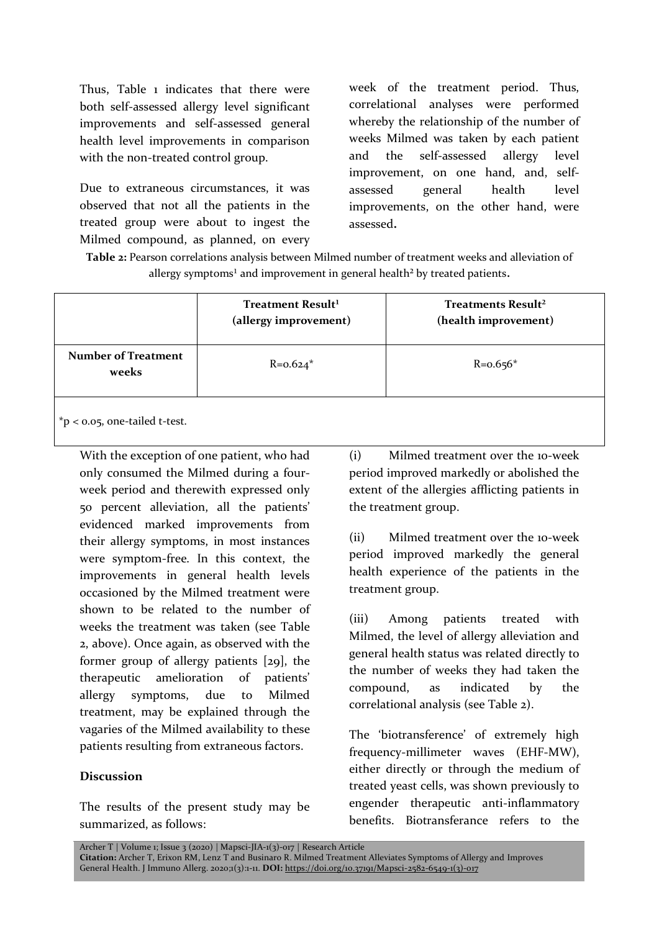Thus, Table 1 indicates that there were both self-assessed allergy level significant improvements and self-assessed general health level improvements in comparison with the non-treated control group.

Due to extraneous circumstances, it was observed that not all the patients in the treated group were about to ingest the Milmed compound, as planned, on every week of the treatment period. Thus, correlational analyses were performed whereby the relationship of the number of weeks Milmed was taken by each patient and the self-assessed allergy level improvement, on one hand, and, selfassessed general health level improvements, on the other hand, were assessed**.**

**Table 2:** Pearson correlations analysis between Milmed number of treatment weeks and alleviation of allergy symptoms<sup>1</sup> and improvement in general health<sup>2</sup> by treated patients.

| <b>Number of Treatment</b><br>$R = 0.624*$<br>$R = 0.656*$ |       | Treatment Result <sup>1</sup><br>(allergy improvement) | Treatments Result <sup>2</sup><br>(health improvement) |  |
|------------------------------------------------------------|-------|--------------------------------------------------------|--------------------------------------------------------|--|
|                                                            | weeks |                                                        |                                                        |  |

\*p < 0.05, one-tailed t-test.

With the exception of one patient, who had only consumed the Milmed during a fourweek period and therewith expressed only 50 percent alleviation, all the patients' evidenced marked improvements from their allergy symptoms, in most instances were symptom-free. In this context, the improvements in general health levels occasioned by the Milmed treatment were shown to be related to the number of weeks the treatment was taken (see Table 2, above). Once again, as observed with the former group of allergy patients [29], the therapeutic amelioration of patients' allergy symptoms, due to Milmed treatment, may be explained through the vagaries of the Milmed availability to these patients resulting from extraneous factors.

#### **Discussion**

The results of the present study may be summarized, as follows:

(i) Milmed treatment over the 10-week period improved markedly or abolished the extent of the allergies afflicting patients in the treatment group.

(ii) Milmed treatment over the 10-week period improved markedly the general health experience of the patients in the treatment group.

(iii) Among patients treated with Milmed, the level of allergy alleviation and general health status was related directly to the number of weeks they had taken the compound, as indicated by the correlational analysis (see Table 2).

The 'biotransference' of extremely high frequency-millimeter waves (EHF-MW), either directly or through the medium of treated yeast cells, was shown previously to engender therapeutic anti-inflammatory benefits. Biotransferance refers to the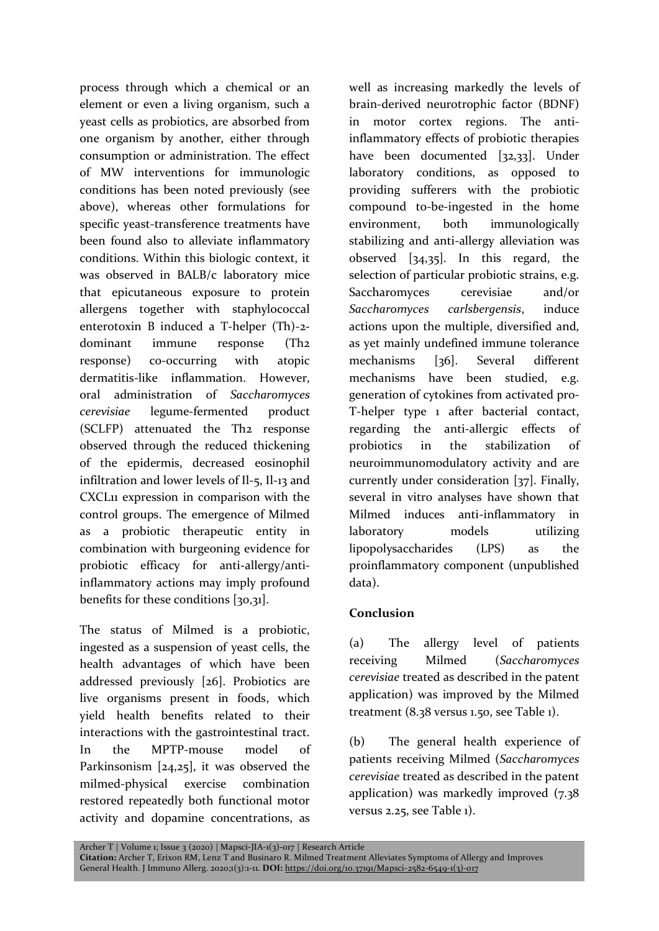process through which a chemical or an element or even a living organism, such a yeast cells as probiotics, are absorbed from one organism by another, either through consumption or administration. The effect of MW interventions for immunologic conditions has been noted previously (see above), whereas other formulations for specific yeast-transference treatments have been found also to alleviate inflammatory conditions. Within this biologic context, it was observed in BALB/c laboratory mice that epicutaneous exposure to protein allergens together with staphylococcal enterotoxin B induced a T-helper (Th)-2 dominant immune response (Th2 response) co-occurring with atopic dermatitis-like inflammation. However, oral administration of *Saccharomyces cerevisiae* legume-fermented product (SCLFP) attenuated the Th2 response observed through the reduced thickening of the epidermis, decreased eosinophil infiltration and lower levels of Il-5, Il-13 and CXCL11 expression in comparison with the control groups. The emergence of Milmed as a probiotic therapeutic entity in combination with burgeoning evidence for probiotic efficacy for anti-allergy/antiinflammatory actions may imply profound benefits for these conditions [30,31].

The status of Milmed is a probiotic, ingested as a suspension of yeast cells, the health advantages of which have been addressed previously [26]. Probiotics are live organisms present in foods, which yield health benefits related to their interactions with the gastrointestinal tract. In the MPTP-mouse model of Parkinsonism [24,25], it was observed the milmed-physical exercise combination restored repeatedly both functional motor activity and dopamine concentrations, as

well as increasing markedly the levels of brain-derived neurotrophic factor (BDNF) in motor cortex regions. The antiinflammatory effects of probiotic therapies have been documented [32,33]. Under laboratory conditions, as opposed to providing sufferers with the probiotic compound to-be-ingested in the home environment, both immunologically stabilizing and anti-allergy alleviation was observed [34,35]. In this regard, the selection of particular probiotic strains, e.g. Saccharomyces cerevisiae and/or *Saccharomyces carlsbergensis*, induce actions upon the multiple, diversified and, as yet mainly undefined immune tolerance mechanisms [36]. Several different mechanisms have been studied, e.g. generation of cytokines from activated pro-T-helper type 1 after bacterial contact, regarding the anti-allergic effects of probiotics in the stabilization of neuroimmunomodulatory activity and are currently under consideration [37]. Finally, several in vitro analyses have shown that Milmed induces anti-inflammatory in laboratory models utilizing lipopolysaccharides (LPS) as the proinflammatory component (unpublished data).

## **Conclusion**

(a) The allergy level of patients receiving Milmed (*Saccharomyces cerevisiae* treated as described in the patent application) was improved by the Milmed treatment (8.38 versus 1.50, see Table 1).

(b) The general health experience of patients receiving Milmed (*Saccharomyces cerevisiae* treated as described in the patent application) was markedly improved  $(7.38)$ versus 2.25, see Table 1).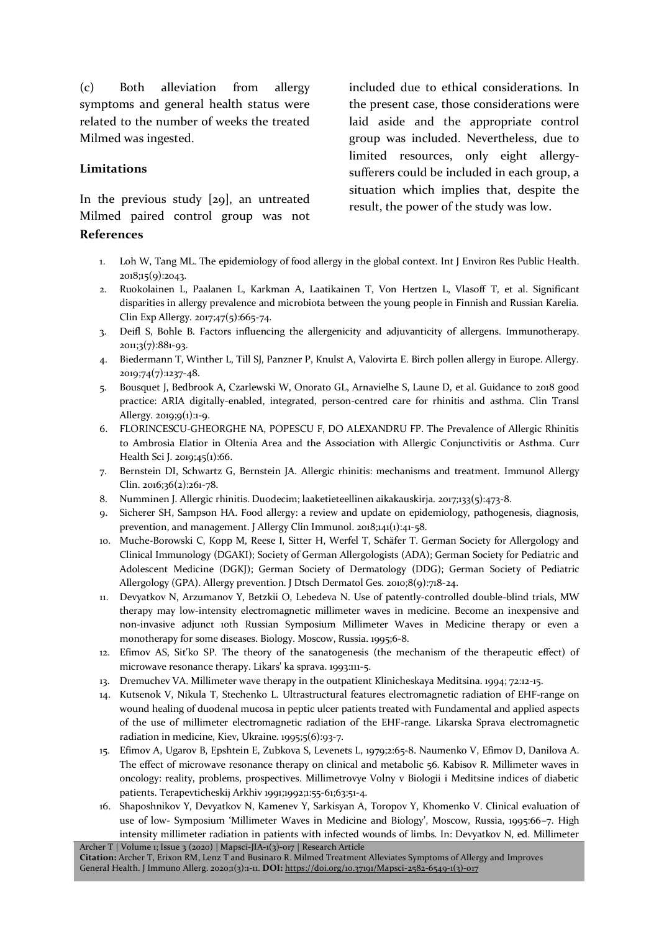(c) Both alleviation from allergy symptoms and general health status were related to the number of weeks the treated Milmed was ingested.

#### **Limitations**

In the previous study [29], an untreated Milmed paired control group was not **References**

included due to ethical considerations. In the present case, those considerations were laid aside and the appropriate control group was included. Nevertheless, due to limited resources, only eight allergysufferers could be included in each group, a situation which implies that, despite the result, the power of the study was low.

- 1. Loh W, Tang ML. The epidemiology of food allergy in the global context. Int J Environ Res Public Health. 2018;15(9):2043.
- 2. Ruokolainen L, Paalanen L, Karkman A, Laatikainen T, Von Hertzen L, Vlasoff T, et al. Significant disparities in allergy prevalence and microbiota between the young people in Finnish and Russian Karelia. Clin Exp Allergy. 2017;47(5):665-74.
- 3. Deifl S, Bohle B. Factors influencing the allergenicity and adjuvanticity of allergens. Immunotherapy. 2011;3(7):881-93.
- 4. Biedermann T, Winther L, Till SJ, Panzner P, Knulst A, Valovirta E. Birch pollen allergy in Europe. Allergy. 2019;74(7):1237-48.
- 5. Bousquet J, Bedbrook A, Czarlewski W, Onorato GL, Arnavielhe S, Laune D, et al. Guidance to 2018 good practice: ARIA digitally-enabled, integrated, person-centred care for rhinitis and asthma. Clin Transl Allergy. 2019;9(1):1-9.
- 6. FLORINCESCU-GHEORGHE NA, POPESCU F, DO ALEXANDRU FP. The Prevalence of Allergic Rhinitis to Ambrosia Elatior in Oltenia Area and the Association with Allergic Conjunctivitis or Asthma. Curr Health Sci J. 2019;45(1):66.
- 7. Bernstein DI, Schwartz G, Bernstein JA. Allergic rhinitis: mechanisms and treatment. Immunol Allergy Clin. 2016;36(2):261-78.
- 8. Numminen J. Allergic rhinitis. Duodecim; laaketieteellinen aikakauskirja. 2017;133(5):473-8.
- 9. Sicherer SH, Sampson HA. Food allergy: a review and update on epidemiology, pathogenesis, diagnosis, prevention, and management. J Allergy Clin Immunol. 2018;141(1):41-58.
- 10. Muche-Borowski C, Kopp M, Reese I, Sitter H, Werfel T, Schäfer T. German Society for Allergology and Clinical Immunology (DGAKI); Society of German Allergologists (ADA); German Society for Pediatric and Adolescent Medicine (DGKJ); German Society of Dermatology (DDG); German Society of Pediatric Allergology (GPA). Allergy prevention. J Dtsch Dermatol Ges. 2010;8(9):718-24.
- 11. Devyatkov N, Arzumanov Y, Betzkii O, Lebedeva N. Use of patently-controlled double-blind trials, MW therapy may low-intensity electromagnetic millimeter waves in medicine. Become an inexpensive and non-invasive adjunct 10th Russian Symposium Millimeter Waves in Medicine therapy or even a monotherapy for some diseases. Biology. Moscow, Russia. 1995;6-8.
- 12. Efimov AS, Sit'ko SP. The theory of the sanatogenesis (the mechanism of the therapeutic effect) of microwave resonance therapy. Likars' ka sprava. 1993:111-5.
- 13. Dremuchev VA. Millimeter wave therapy in the outpatient Klinicheskaya Meditsina. 1994; 72:12-15.
- 14. Kutsenok V, Nikula T, Stechenko L. Ultrastructural features electromagnetic radiation of EHF-range on wound healing of duodenal mucosa in peptic ulcer patients treated with Fundamental and applied aspects of the use of millimeter electromagnetic radiation of the EHF-range. Likarska Sprava electromagnetic radiation in medicine, Kiev, Ukraine. 1995;5(6):93-7.
- 15. Efimov A, Ugarov B, Epshtein E, Zubkova S, Levenets L, 1979;2:65-8. Naumenko V, Efimov D, Danilova A. The effect of microwave resonance therapy on clinical and metabolic 56. Kabisov R. Millimeter waves in oncology: reality, problems, prospectives. Millimetrovye Volny v Biologii i Meditsine indices of diabetic patients. Terapevticheskij Arkhiv 1991;1992;1:55-61;63:51-4.
- Archer T | Volume 1; Issue 3 (2020) | Mapsci-JIA-1(3)-017 | Research Article 16. Shaposhnikov Y, Devyatkov N, Kamenev Y, Sarkisyan A, Toropov Y, Khomenko V. Clinical evaluation of use of low- Symposium 'Millimeter Waves in Medicine and Biology', Moscow, Russia, 1995:66–7. High intensity millimeter radiation in patients with infected wounds of limbs. In: Devyatkov N, ed. Millimeter

**Citation:** Archer T, Erixon RM, Lenz T and Businaro R. Milmed Treatment Alleviates Symptoms of Allergy and Improves General Health. J Immuno Allerg. 2020;1(3):1-11. **DOI:** https://doi.org/10.37191/Mapsci-2582-6549-1(3)-017